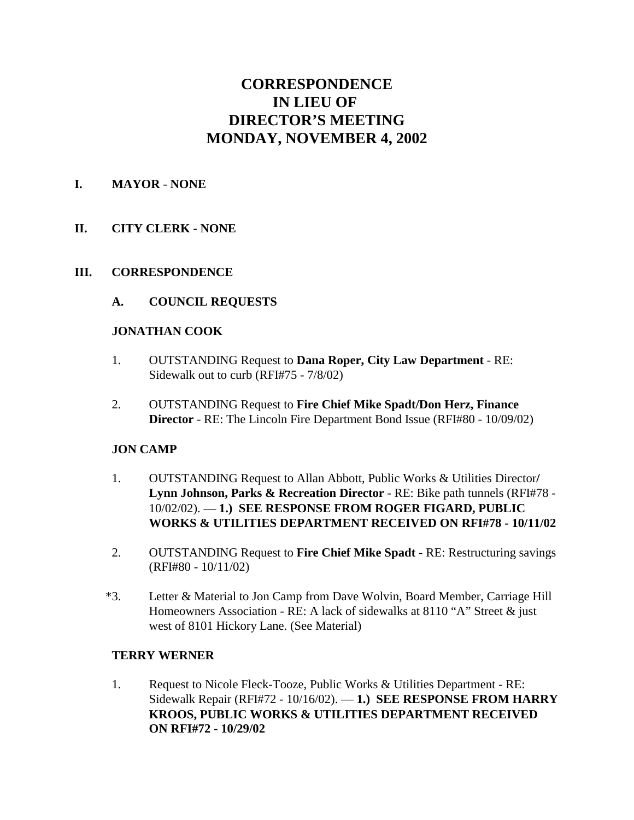# **CORRESPONDENCE IN LIEU OF DIRECTOR'S MEETING MONDAY, NOVEMBER 4, 2002**

## **I. MAYOR** - **NONE**

# **II. CITY CLERK - NONE**

## **III. CORRESPONDENCE**

**A. COUNCIL REQUESTS**

## **JONATHAN COOK**

- 1. OUTSTANDING Request to **Dana Roper, City Law Department** RE: Sidewalk out to curb (RFI#75 - 7/8/02)
- 2. OUTSTANDING Request to **Fire Chief Mike Spadt/Don Herz, Finance Director** - RE: The Lincoln Fire Department Bond Issue (RFI#80 - 10/09/02)

# **JON CAMP**

- 1. OUTSTANDING Request to Allan Abbott, Public Works & Utilities Director**/ Lynn Johnson, Parks & Recreation Director** - RE: Bike path tunnels (RFI#78 - 10/02/02). — **1.) SEE RESPONSE FROM ROGER FIGARD, PUBLIC WORKS & UTILITIES DEPARTMENT RECEIVED ON RFI#78 - 10/11/02**
- 2. OUTSTANDING Request to **Fire Chief Mike Spadt** RE: Restructuring savings (RFI#80 - 10/11/02)
- \*3. Letter & Material to Jon Camp from Dave Wolvin, Board Member, Carriage Hill Homeowners Association - RE: A lack of sidewalks at 8110 "A" Street & just west of 8101 Hickory Lane. (See Material)

#### **TERRY WERNER**

1. Request to Nicole Fleck-Tooze, Public Works & Utilities Department - RE: Sidewalk Repair (RFI#72 - 10/16/02). — **1.) SEE RESPONSE FROM HARRY KROOS, PUBLIC WORKS & UTILITIES DEPARTMENT RECEIVED ON RFI#72 - 10/29/02**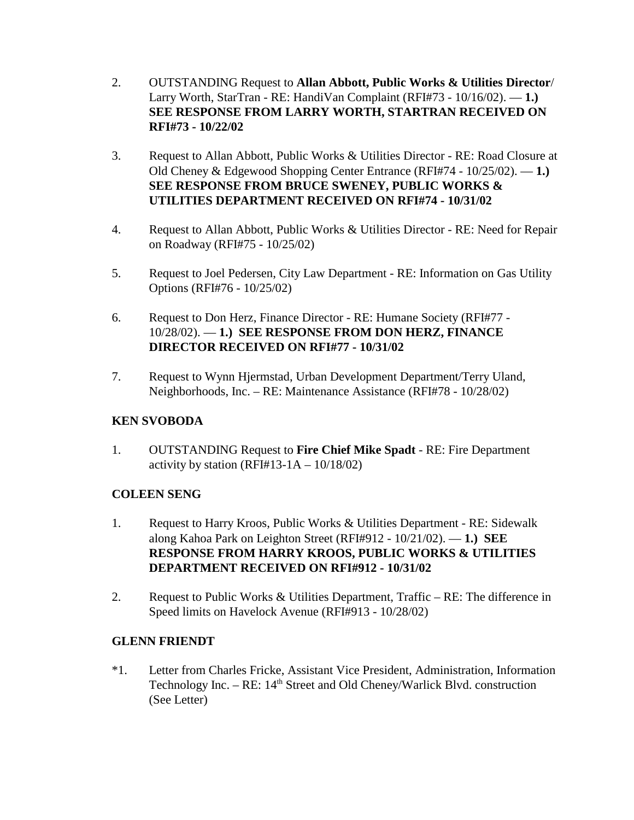- 2. OUTSTANDING Request to **Allan Abbott, Public Works & Utilities Director**/ Larry Worth, StarTran - RE: HandiVan Complaint (RFI#73 - 10/16/02). — **1.) SEE RESPONSE FROM LARRY WORTH, STARTRAN RECEIVED ON RFI#73 - 10/22/02**
- 3. Request to Allan Abbott, Public Works & Utilities Director RE: Road Closure at Old Cheney & Edgewood Shopping Center Entrance (RFI#74 - 10/25/02). — **1.) SEE RESPONSE FROM BRUCE SWENEY, PUBLIC WORKS & UTILITIES DEPARTMENT RECEIVED ON RFI#74 - 10/31/02**
- 4. Request to Allan Abbott, Public Works & Utilities Director RE: Need for Repair on Roadway (RFI#75 - 10/25/02)
- 5. Request to Joel Pedersen, City Law Department RE: Information on Gas Utility Options (RFI#76 - 10/25/02)
- 6. Request to Don Herz, Finance Director RE: Humane Society (RFI#77 10/28/02). — **1.) SEE RESPONSE FROM DON HERZ, FINANCE DIRECTOR RECEIVED ON RFI#77 - 10/31/02**
- 7. Request to Wynn Hjermstad, Urban Development Department/Terry Uland, Neighborhoods, Inc. – RE: Maintenance Assistance (RFI#78 - 10/28/02)

# **KEN SVOBODA**

1. OUTSTANDING Request to **Fire Chief Mike Spadt** - RE: Fire Department activity by station  $(RFI#13-1A - 10/18/02)$ 

# **COLEEN SENG**

- 1. Request to Harry Kroos, Public Works & Utilities Department RE: Sidewalk along Kahoa Park on Leighton Street (RFI#912 - 10/21/02). — **1.) SEE RESPONSE FROM HARRY KROOS, PUBLIC WORKS & UTILITIES DEPARTMENT RECEIVED ON RFI#912 - 10/31/02**
- 2. Request to Public Works & Utilities Department, Traffic RE: The difference in Speed limits on Havelock Avenue (RFI#913 - 10/28/02)

# **GLENN FRIENDT**

\*1. Letter from Charles Fricke, Assistant Vice President, Administration, Information Technology Inc. –  $RE: 14<sup>th</sup> Street and Old Chenev/Warlick Blvd. construction$ (See Letter)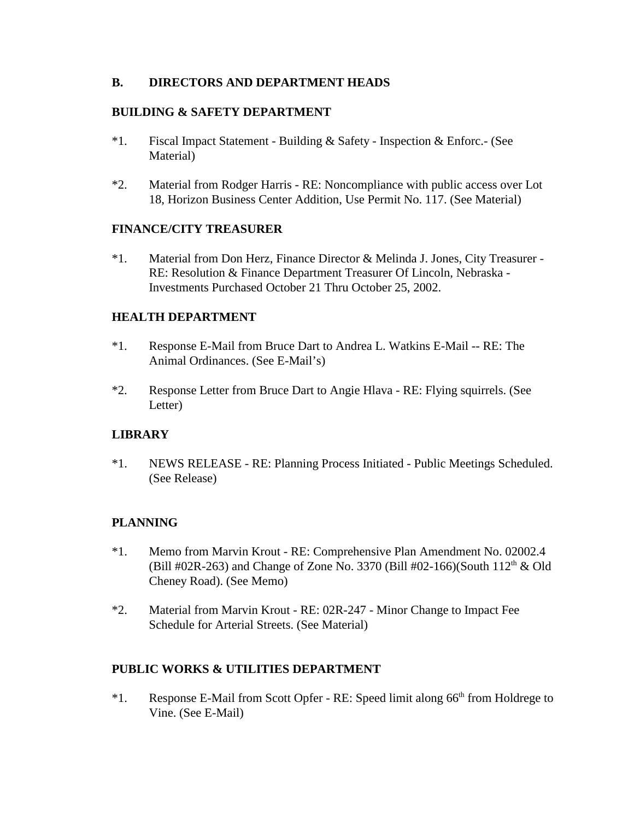## **B. DIRECTORS AND DEPARTMENT HEADS**

## **BUILDING & SAFETY DEPARTMENT**

- \*1. Fiscal Impact Statement Building & Safety Inspection & Enforc.- (See Material)
- \*2. Material from Rodger Harris RE: Noncompliance with public access over Lot 18, Horizon Business Center Addition, Use Permit No. 117. (See Material)

#### **FINANCE/CITY TREASURER**

\*1. Material from Don Herz, Finance Director & Melinda J. Jones, City Treasurer - RE: Resolution & Finance Department Treasurer Of Lincoln, Nebraska - Investments Purchased October 21 Thru October 25, 2002.

## **HEALTH DEPARTMENT**

- \*1. Response E-Mail from Bruce Dart to Andrea L. Watkins E-Mail -- RE: The Animal Ordinances. (See E-Mail's)
- \*2. Response Letter from Bruce Dart to Angie Hlava RE: Flying squirrels. (See Letter)

#### **LIBRARY**

\*1. NEWS RELEASE - RE: Planning Process Initiated - Public Meetings Scheduled. (See Release)

# **PLANNING**

- \*1. Memo from Marvin Krout RE: Comprehensive Plan Amendment No. 02002.4 (Bill #02R-263) and Change of Zone No. 3370 (Bill #02-166)(South  $112<sup>th</sup>$  & Old Cheney Road). (See Memo)
- \*2. Material from Marvin Krout RE: 02R-247 Minor Change to Impact Fee Schedule for Arterial Streets. (See Material)

# **PUBLIC WORKS & UTILITIES DEPARTMENT**

 $*1.$  Response E-Mail from Scott Opfer - RE: Speed limit along 66<sup>th</sup> from Holdrege to Vine. (See E-Mail)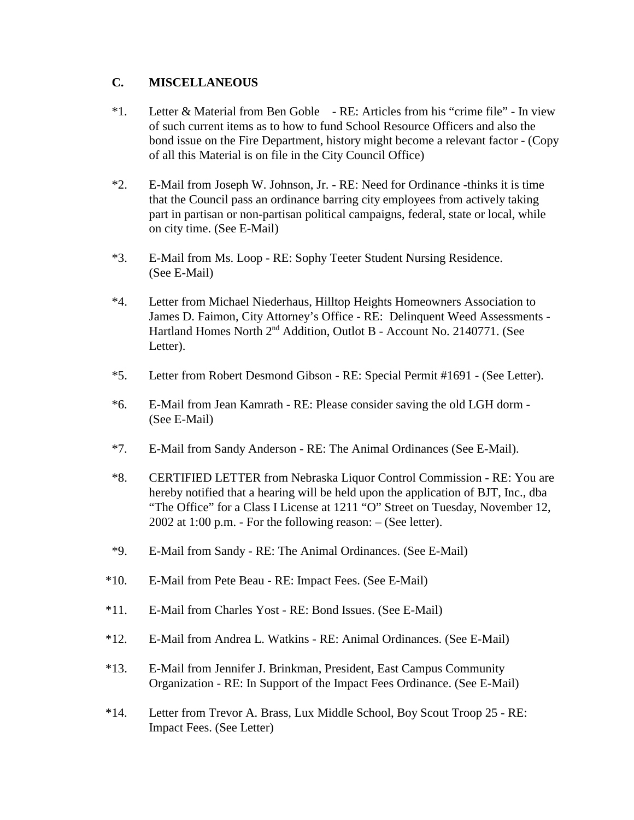## **C. MISCELLANEOUS**

- \*1. Letter & Material from Ben Goble RE: Articles from his "crime file" In view of such current items as to how to fund School Resource Officers and also the bond issue on the Fire Department, history might become a relevant factor - (Copy of all this Material is on file in the City Council Office)
- \*2. E-Mail from Joseph W. Johnson, Jr. RE: Need for Ordinance -thinks it is time that the Council pass an ordinance barring city employees from actively taking part in partisan or non-partisan political campaigns, federal, state or local, while on city time. (See E-Mail)
- \*3. E-Mail from Ms. Loop RE: Sophy Teeter Student Nursing Residence. (See E-Mail)
- \*4. Letter from Michael Niederhaus, Hilltop Heights Homeowners Association to James D. Faimon, City Attorney's Office - RE: Delinquent Weed Assessments - Hartland Homes North 2nd Addition, Outlot B - Account No. 2140771. (See Letter).
- \*5. Letter from Robert Desmond Gibson RE: Special Permit #1691 (See Letter).
- \*6. E-Mail from Jean Kamrath RE: Please consider saving the old LGH dorm (See E-Mail)
- \*7. E-Mail from Sandy Anderson RE: The Animal Ordinances (See E-Mail).
- \*8. CERTIFIED LETTER from Nebraska Liquor Control Commission RE: You are hereby notified that a hearing will be held upon the application of BJT, Inc., dba "The Office" for a Class I License at 1211 "O" Street on Tuesday, November 12, 2002 at 1:00 p.m. - For the following reason: – (See letter).
- \*9. E-Mail from Sandy RE: The Animal Ordinances. (See E-Mail)
- \*10. E-Mail from Pete Beau RE: Impact Fees. (See E-Mail)
- \*11. E-Mail from Charles Yost RE: Bond Issues. (See E-Mail)
- \*12. E-Mail from Andrea L. Watkins RE: Animal Ordinances. (See E-Mail)
- \*13. E-Mail from Jennifer J. Brinkman, President, East Campus Community Organization - RE: In Support of the Impact Fees Ordinance. (See E-Mail)
- \*14. Letter from Trevor A. Brass, Lux Middle School, Boy Scout Troop 25 RE: Impact Fees. (See Letter)